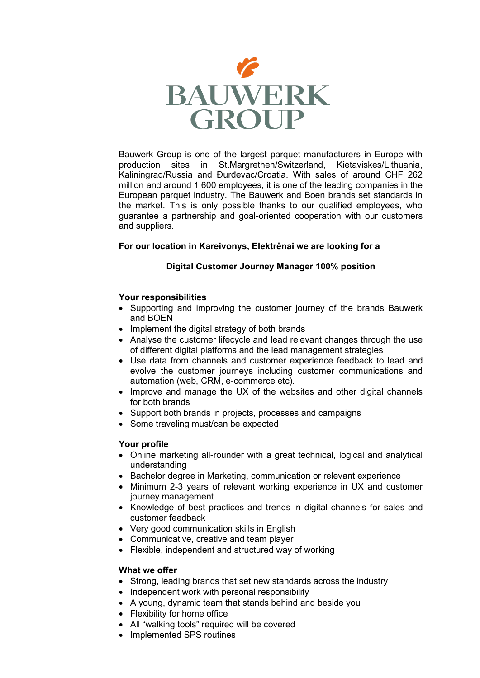

Bauwerk Group is one of the largest parquet manufacturers in Europe with production sites in St.Margrethen/Switzerland, Kietaviskes/Lithuania, Kaliningrad/Russia and Đurđevac/Croatia. With sales of around CHF 262 million and around 1,600 employees, it is one of the leading companies in the European parquet industry. The Bauwerk and Boen brands set standards in the market. This is only possible thanks to our qualified employees, who guarantee a partnership and goal-oriented cooperation with our customers and suppliers.

# **For our location in Kareivonys, Elektrėnai we are looking for a**

# **Digital Customer Journey Manager 100% position**

## **Your responsibilities**

- Supporting and improving the customer journey of the brands Bauwerk and BOEN
- Implement the digital strategy of both brands
- Analyse the customer lifecycle and lead relevant changes through the use of different digital platforms and the lead management strategies
- Use data from channels and customer experience feedback to lead and evolve the customer journeys including customer communications and automation (web, CRM, e-commerce etc).
- Improve and manage the UX of the websites and other digital channels for both brands
- Support both brands in projects, processes and campaigns
- Some traveling must/can be expected

## **Your profile**

- Online marketing all-rounder with a great technical, logical and analytical understanding
- Bachelor degree in Marketing, communication or relevant experience
- Minimum 2-3 years of relevant working experience in UX and customer journey management
- Knowledge of best practices and trends in digital channels for sales and customer feedback
- Very good communication skills in English
- Communicative, creative and team player
- Flexible, independent and structured way of working

## **What we offer**

- Strong, leading brands that set new standards across the industry
- Independent work with personal responsibility
- A young, dynamic team that stands behind and beside you
- Flexibility for home office
- All "walking tools" required will be covered
- Implemented SPS routines